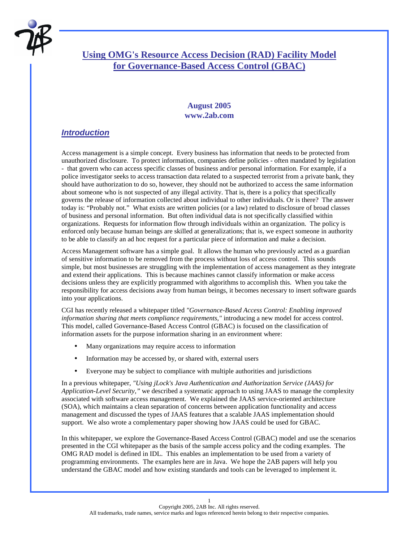

# **Using OMG's Resource Access Decision (RAD) Facility Model for Governance-Based Access Control (GBAC)**

#### **August 2005 www.2ab.com**

### *Introduction*

Access management is a simple concept. Every business has information that needs to be protected from unauthorized disclosure. To protect information, companies define policies - often mandated by legislation - that govern who can access specific classes of business and/or personal information. For example, if a police investigator seeks to access transaction data related to a suspected terrorist from a private bank, they should have authorization to do so, however, they should not be authorized to access the same information about someone who is not suspected of any illegal activity. That is, there is a policy that specifically governs the release of information collected about individual to other individuals. Or is there? The answer today is: "Probably not." What exists are written policies (or a law) related to disclosure of broad classes of business and personal information. But often individual data is not specifically classified within organizations. Requests for information flow through individuals within an organization. The policy is enforced only because human beings are skilled at generalizations; that is, we expect someone in authority to be able to classify an ad hoc request for a particular piece of information and make a decision.

Access Management software has a simple goal. It allows the human who previously acted as a guardian of sensitive information to be removed from the process without loss of access control. This sounds simple, but most businesses are struggling with the implementation of access management as they integrate and extend their applications. This is because machines cannot classify information or make access decisions unless they are explicitly programmed with algorithms to accomplish this. When you take the responsibility for access decisions away from human beings, it becomes necessary to insert software guards into your applications.

CGI has recently released a whitepaper titled *"Governance-Based Access Control: Enabling improved information sharing that meets compliance requirements,"* introducing a new model for access control. This model, called Governance-Based Access Control (GBAC) is focused on the classification of information assets for the purpose information sharing in an environment where:

- Many organizations may require access to information
- Information may be accessed by, or shared with, external users
- Everyone may be subject to compliance with multiple authorities and jurisdictions

In a previous whitepaper, *"Using jLock's Java Authentication and Authorization Service (JAAS) for Application-Level Security,"* we described a systematic approach to using JAAS to manage the complexity associated with software access management. We explained the JAAS service-oriented architecture (SOA), which maintains a clean separation of concerns between application functionality and access management and discussed the types of JAAS features that a scalable JAAS implementation should support. We also wrote a complementary paper showing how JAAS could be used for GBAC.

In this whitepaper, we explore the Governance-Based Access Control (GBAC) model and use the scenarios presented in the CGI whitepaper as the basis of the sample access policy and the coding examples. The OMG RAD model is defined in IDL. This enables an implementation to be used from a variety of programming environments. The examples here are in Java. We hope the 2AB papers will help you understand the GBAC model and how existing standards and tools can be leveraged to implement it.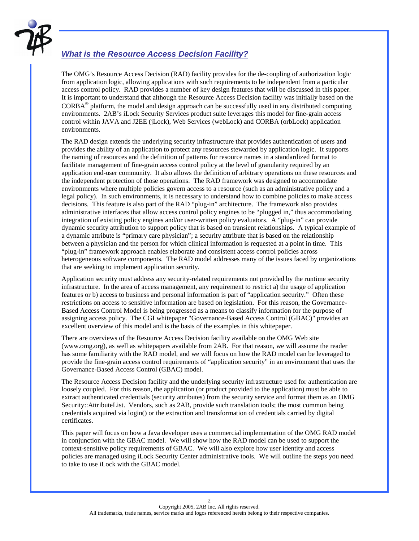

### *What is the Resource Access Decision Facility?*

The OMG's Resource Access Decision (RAD) facility provides for the de-coupling of authorization logic from application logic, allowing applications with such requirements to be independent from a particular access control policy. RAD provides a number of key design features that will be discussed in this paper. It is important to understand that although the Resource Access Decision facility was initially based on the  $CORBA<sup>®</sup>$  platform, the model and design approach can be successfully used in any distributed computing environments. 2AB's iLock Security Services product suite leverages this model for fine-grain access control within JAVA and J2EE (jLock), Web Services (webLock) and CORBA (orbLock) application environments.

The RAD design extends the underlying security infrastructure that provides authentication of users and provides the ability of an application to protect any resources stewarded by application logic. It supports the naming of resources and the definition of patterns for resource names in a standardized format to facilitate management of fine-grain access control policy at the level of granularity required by an application end-user community. It also allows the definition of arbitrary operations on these resources and the independent protection of those operations. The RAD framework was designed to accommodate environments where multiple policies govern access to a resource (such as an administrative policy and a legal policy). In such environments, it is necessary to understand how to combine policies to make access decisions. This feature is also part of the RAD "plug-in" architecture. The framework also provides administrative interfaces that allow access control policy engines to be "plugged in," thus accommodating integration of existing policy engines and/or user-written policy evaluators. A "plug-in" can provide dynamic security attribution to support policy that is based on transient relationships. A typical example of a dynamic attribute is "primary care physician"; a security attribute that is based on the relationship between a physician and the person for which clinical information is requested at a point in time. This "plug-in" framework approach enables elaborate and consistent access control policies across heterogeneous software components. The RAD model addresses many of the issues faced by organizations that are seeking to implement application security.

Application security must address any security-related requirements not provided by the runtime security infrastructure. In the area of access management, any requirement to restrict a) the usage of application features or b) access to business and personal information is part of "application security." Often these restrictions on access to sensitive information are based on legislation. For this reason, the Governance-Based Access Control Model is being progressed as a means to classify information for the purpose of assigning access policy. The CGI whitepaper "Governance-Based Access Control (GBAC)" provides an excellent overview of this model and is the basis of the examples in this whitepaper.

There are overviews of the Resource Access Decision facility available on the OMG Web site (www.omg.org), as well as whitepapers available from 2AB. For that reason, we will assume the reader has some familiarity with the RAD model, and we will focus on how the RAD model can be leveraged to provide the fine-grain access control requirements of "application security" in an environment that uses the Governance-Based Access Control (GBAC) model.

The Resource Access Decision facility and the underlying security infrastructure used for authentication are loosely coupled. For this reason, the application (or product provided to the application) must be able to extract authenticated credentials (security attributes) from the security service and format them as an OMG Security::AttributeList. Vendors, such as 2AB, provide such translation tools; the most common being credentials acquired via login() or the extraction and transformation of credentials carried by digital certificates.

This paper will focus on how a Java developer uses a commercial implementation of the OMG RAD model in conjunction with the GBAC model. We will show how the RAD model can be used to support the context-sensitive policy requirements of GBAC. We will also explore how user identity and access policies are managed using iLock Security Center administrative tools. We will outline the steps you need to take to use iLock with the GBAC model.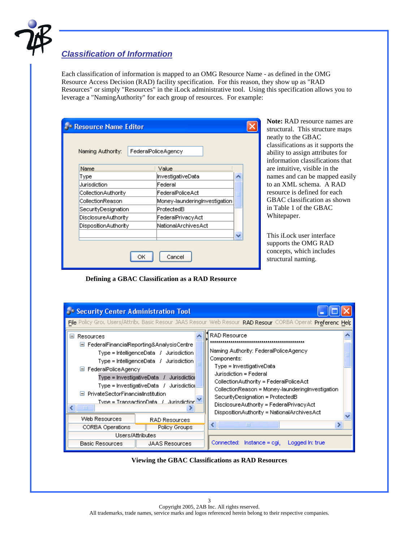

## *Classification of Information*

Each classification of information is mapped to an OMG Resource Name - as defined in the OMG Resource Access Decision (RAD) facility specification. For this reason, they show up as "RAD Resources" or simply "Resources" in the iLock administrative tool. Using this specification allows you to leverage a "NamingAuthority" for each group of resources. For example:

| <b>Resource Name Editor</b> |                               |   |
|-----------------------------|-------------------------------|---|
| Naming Authority:           | FederalPoliceAgency           |   |
| Name.                       | Value                         |   |
| Type                        | InvestigativeData             | ᄉ |
| Jurisdiction                | Federal                       |   |
| CollectionAuthority         | FederalPoliceAct              |   |
| CollectionReason            | Money-laundering hvestigation |   |
| SecurityDesignation         | ProtectedB                    |   |
| DisclosureAuthority         | FederalPrivacyAct             |   |
| DispositionAuthority        | NationalArchivesAct           |   |
|                             |                               | ◡ |
|                             | Cancel                        |   |

**Note:** RAD resource names are structural. This structure maps neatly to the GBAC classifications as it supports the ability to assign attributes for information classifications that are intuitive, visible in the names and can be mapped easily to an XML schema. A RAD resource is defined for each GBAC classification as shown in Table 1 of the GBAC Whitepaper.

This iLock user interface supports the OMG RAD concepts, which includes structural naming.

**Defining a GBAC Classification as a RAD Resource** 

| Security Center Administration Tool                                                           |                                                                                                                                                                                                                                                                            | File Policy Grou Users/Attribu Basic Resour JAAS Resour Web Resour RAD Resour CORBA Operat Preferenc Help                                                                                                                                                                                                                                             |
|-----------------------------------------------------------------------------------------------|----------------------------------------------------------------------------------------------------------------------------------------------------------------------------------------------------------------------------------------------------------------------------|-------------------------------------------------------------------------------------------------------------------------------------------------------------------------------------------------------------------------------------------------------------------------------------------------------------------------------------------------------|
| $\equiv$<br>Resources<br>□ FederalPoliceAgency<br>PrivateSectorFinancialInstitution<br>н<br>Ш | □ FederalFinancialReporting&AnalysisCentre<br>Type = IntelligenceData / Jurisdiction<br>$Type = IntelligenceData / Jurisdiction$<br>$Type = InvestigativeData / Jurisdiction$<br>$Type = InvestigativeData / Jurisdiction$<br>Type = TransactionData $\beta$ durisdiction. | RAD Resource<br>Naming Authority: FederalPoliceAgency<br>Components:<br>Type = InvestigativeData<br>Jurisdiction = Federal<br>CollectionAuthority = FederalPoliceAct<br>CollectionReason = Money-launderingInvestigation<br>SecurityDesignation = ProtectedB<br>DisclosureAuthority = FederalPrivacyAct<br>DispositionAuthority = NationalArchivesAct |
| Web Resources<br>CORBA Operations                                                             | RAD Resources<br>Policy Groups                                                                                                                                                                                                                                             | $\left\langle \right\rangle$<br><b>TIII</b>                                                                                                                                                                                                                                                                                                           |
|                                                                                               | Users/Attributes                                                                                                                                                                                                                                                           |                                                                                                                                                                                                                                                                                                                                                       |
| Basic Resources                                                                               | <b>JAAS Resources</b>                                                                                                                                                                                                                                                      | Connected: Instance = cgi,<br>Logged In: true                                                                                                                                                                                                                                                                                                         |

#### **Viewing the GBAC Classifications as RAD Resources**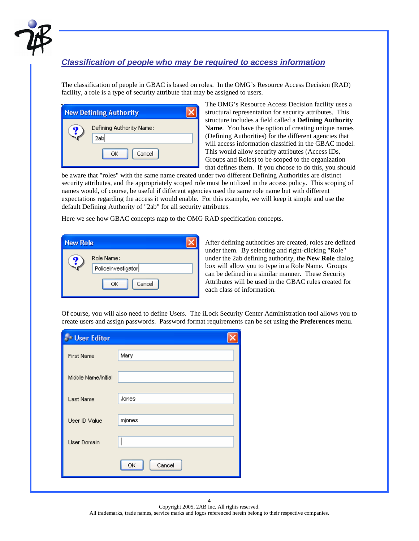

### *Classification of people who may be required to access information*

The classification of people in GBAC is based on roles. In the OMG's Resource Access Decision (RAD) facility, a role is a type of security attribute that may be assigned to users.

| <b>New Defining Authority</b>                   |  |
|-------------------------------------------------|--|
| Defining Authority Name:<br>2ab<br>Cancel<br>ОК |  |

The OMG's Resource Access Decision facility uses a structural representation for security attributes. This structure includes a field called a **Defining Authority Name**. You have the option of creating unique names (Defining Authorities) for the different agencies that will access information classified in the GBAC model. This would allow security attributes (Access IDs, Groups and Roles) to be scoped to the organization that defines them. If you choose to do this, you should

be aware that "roles" with the same name created under two different Defining Authorities are distinct security attributes, and the appropriately scoped role must be utilized in the access policy. This scoping of names would, of course, be useful if different agencies used the same role name but with different expectations regarding the access it would enable. For this example, we will keep it simple and use the default Defining Authority of "2ab" for all security attributes.

Here we see how GBAC concepts map to the OMG RAD specification concepts.

| <b>New Role</b> |                    |
|-----------------|--------------------|
|                 | Role Name:         |
|                 | Policelnvestigator |
|                 | Cancel<br>ОК       |

After defining authorities are created, roles are defined under them. By selecting and right-clicking "Role" under the 2ab defining authority, the **New Role** dialog box will allow you to type in a Role Name. Groups can be defined in a similar manner. These Security Attributes will be used in the GBAC rules created for each class of information.

Of course, you will also need to define Users. The iLock Security Center Administration tool allows you to create users and assign passwords. Password format requirements can be set using the **Preferences** menu.

| <b>Solution</b> Editor |              |
|------------------------|--------------|
| <b>First Name</b>      | Mary         |
| Middle Name/Initial    |              |
| Last Name              | Jones        |
| User ID Value          | mjones       |
| <b>User Domain</b>     |              |
|                        | Cancel<br>ОК |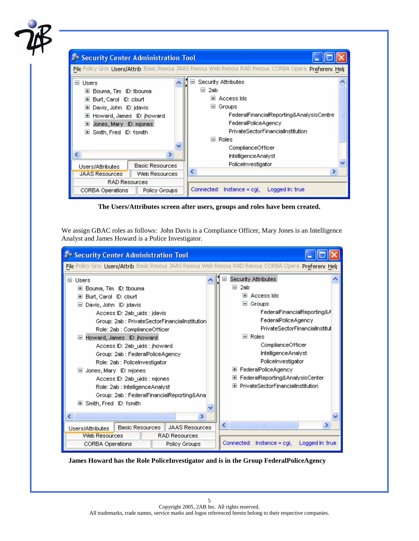

**The Users/Attributes screen after users, groups and roles have been created.** 

We assign GBAC roles as follows: John Davis is a Compliance Officer, Mary Jones is an Intelligence Analyst and James Howard is a Police Investigator.



**James Howard has the Role PoliceInvestigator and is in the Group FederalPoliceAgency**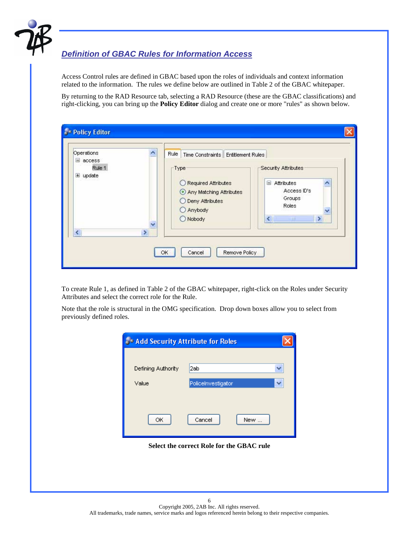

# *Definition of GBAC Rules for Information Access*

Access Control rules are defined in GBAC based upon the roles of individuals and context information related to the information. The rules we define below are outlined in Table 2 of the GBAC whitepaper.

By returning to the RAD Resource tab, selecting a RAD Resource (these are the GBAC classifications) and right-clicking, you can bring up the **Policy Editor** dialog and create one or more "rules" as shown below.

| Operations<br>$\equiv$ access  |               | Rule  <br>Time Constraints Entitlement Rules                                                                     |                                                                                                                                          |
|--------------------------------|---------------|------------------------------------------------------------------------------------------------------------------|------------------------------------------------------------------------------------------------------------------------------------------|
| Rule 1<br>$\equiv$ update<br>K | $\rightarrow$ | -Type <sup>-</sup><br>Required Attributes<br>Any Matching Attributes<br>O Deny Attributes<br>Anybody<br>O Nobody | Security Attributes<br>Attributes<br>ы<br>Access ID's<br>Groups<br>Roles<br>$\left\langle \right\rangle$<br>$\rightarrow$<br><b>TIII</b> |

To create Rule 1, as defined in Table 2 of the GBAC whitepaper, right-click on the Roles under Security Attributes and select the correct role for the Rule.

Note that the role is structural in the OMG specification. Drop down boxes allow you to select from previously defined roles.

| Add Security Attribute for Roles          |                    |  |  |  |
|-------------------------------------------|--------------------|--|--|--|
|                                           |                    |  |  |  |
| Defining Authority                        | 2ab                |  |  |  |
| Value                                     | Policelnvestigator |  |  |  |
|                                           |                    |  |  |  |
| ОК                                        | Cancel<br>New      |  |  |  |
| Select the correct Role for the GBAC rule |                    |  |  |  |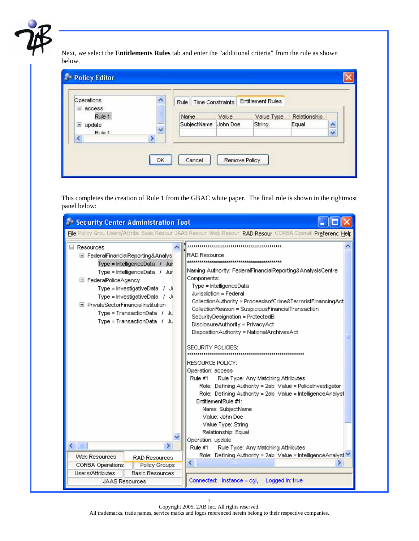

Next, we select the **Entitlements Rules** tab and enter the "additional criteria" from the rule as shown below.

| Operations<br>$\equiv$ access |   |      | Rule   Time Constraints |       | <b>Entitlement Rules</b> |              |                    |
|-------------------------------|---|------|-------------------------|-------|--------------------------|--------------|--------------------|
| Rule 1                        | Ξ | Name |                         | Value | Value Type               | Relationship |                    |
| $\equiv$ update               |   |      | SubjectName John Doe    |       | String                   | Equal        | $\hat{\mathbf{r}}$ |
| Rule 1                        | V |      |                         |       |                          |              | v                  |
| $\overline{\textbf{C}}$       | ⋗ |      |                         |       |                          |              |                    |

This completes the creation of Rule 1 from the GBAC white paper. The final rule is shown in the rightmost panel below:

| Security Center Administration Tool                                                                                                                                                                                                                                                                                                            |                                                                                                                                                                                                                                                                                                                                                                                                                                                                                                                                                                                                                                                                                                                                                                      |  |  |  |
|------------------------------------------------------------------------------------------------------------------------------------------------------------------------------------------------------------------------------------------------------------------------------------------------------------------------------------------------|----------------------------------------------------------------------------------------------------------------------------------------------------------------------------------------------------------------------------------------------------------------------------------------------------------------------------------------------------------------------------------------------------------------------------------------------------------------------------------------------------------------------------------------------------------------------------------------------------------------------------------------------------------------------------------------------------------------------------------------------------------------------|--|--|--|
| File Policy Grou Users/Attribu Basic Resour JAAS Resour Web Resour RAD Resour CORBA Operat Preferenc Help                                                                                                                                                                                                                                      |                                                                                                                                                                                                                                                                                                                                                                                                                                                                                                                                                                                                                                                                                                                                                                      |  |  |  |
| $\boxdot$ Resources<br>E FederalFinancialReporting&Analys<br>Type = IntelligenceData $\neq$ Jur<br>Type = IntelligenceData $\neq$ Juri<br>□ FederalPoliceAgency<br>Type = InvestigativeData $\pm$ Ji<br>Type = InvestigativeData / Ji<br>□ PrivateSectorFinancialInstitution<br>$Type = TransactionData / JJ$<br>$Type = TransactionData / Ju$ | RAD Resource<br>Naming Authority: FederalFinancialReporting&AnalysisCentre<br>Components:<br>Type = IntelligenceData<br>Jurisdiction = Federal<br>CollectionAuthority = ProceedsofCrime&TerroristFinancingAct<br>CollectionReason = SuspiciousFinancialTransaction<br>SecurityDesignation = ProtectedB<br>DisclosureAuthority = PrivacyAct<br>DispositionAuthority = NationalArchivesAct<br>SECURITY POLICIES:<br>RESOURCE POLICY:<br>Operation: access<br>Rule Type: Any Matching Attributes<br>Rule #1<br>Role: Defining Authority = 2ab Value = Policelnvestigator<br>Role: Defining Authority = 2ab Value = IntelligenceAnalyst<br>EntitlementRule #1:<br>Name: SubjectName<br>Value: John Doe<br>Value Type: String<br>Relationship: Equal<br>Operation: update |  |  |  |
| ×<br>TIII                                                                                                                                                                                                                                                                                                                                      | Rule #1<br>Rule Type: Any Matching Attributes                                                                                                                                                                                                                                                                                                                                                                                                                                                                                                                                                                                                                                                                                                                        |  |  |  |
| Web Resources<br><b>RAD Resources</b><br>CORBA Operations<br><b>Policy Groups</b>                                                                                                                                                                                                                                                              | Role: Defining Authority = 2ab Value = IntelligenceAnalyst<br>$\left\langle \right\rangle$<br>Ш                                                                                                                                                                                                                                                                                                                                                                                                                                                                                                                                                                                                                                                                      |  |  |  |
| Users/Attributes<br><b>Basic Resources</b>                                                                                                                                                                                                                                                                                                     |                                                                                                                                                                                                                                                                                                                                                                                                                                                                                                                                                                                                                                                                                                                                                                      |  |  |  |
| <b>JAAS Resources</b>                                                                                                                                                                                                                                                                                                                          | Connected: Instance = cgi, Logged In: true                                                                                                                                                                                                                                                                                                                                                                                                                                                                                                                                                                                                                                                                                                                           |  |  |  |

Copyright 2005, 2AB Inc. All rights reserved. All trademarks, trade names, service marks and logos referenced herein belong to their respective companies.

7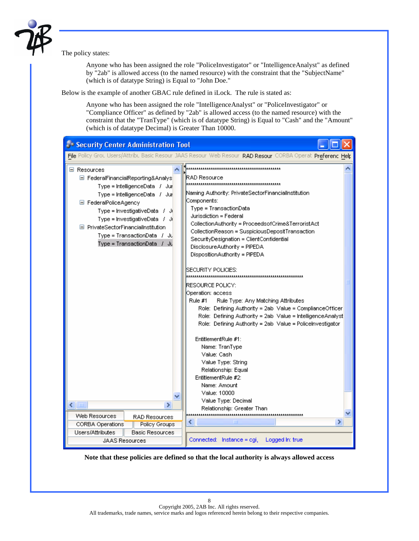

The policy states:

l.

Anyone who has been assigned the role "PoliceInvestigator" or "IntelligenceAnalyst" as defined by "2ab" is allowed access (to the named resource) with the constraint that the "SubjectName" (which is of datatype String) is Equal to "John Doe."

Below is the example of another GBAC rule defined in iLock. The rule is stated as:

Anyone who has been assigned the role "IntelligenceAnalyst" or "PoliceInvestigator" or "Compliance Officer" as defined by "2ab" is allowed access (to the named resource) with the constraint that the "TranType" (which is of datatype String) is Equal to "Cash" and the "Amount" (which is of datatype Decimal) is Greater Than 10000.

| Security Center Administration Tool                                                                                                                                                                                                                                                                                         |                                                                                                                                                                                                                                                                                                                                                                                                                                                                                                                                                                                                                                                                                                                                                                                                                                 |  |
|-----------------------------------------------------------------------------------------------------------------------------------------------------------------------------------------------------------------------------------------------------------------------------------------------------------------------------|---------------------------------------------------------------------------------------------------------------------------------------------------------------------------------------------------------------------------------------------------------------------------------------------------------------------------------------------------------------------------------------------------------------------------------------------------------------------------------------------------------------------------------------------------------------------------------------------------------------------------------------------------------------------------------------------------------------------------------------------------------------------------------------------------------------------------------|--|
|                                                                                                                                                                                                                                                                                                                             | File Policy Grou Users/Attribu Basic Resour JAAS Resour Web Resour RAD Resour CORBA Operat Preferenc Help                                                                                                                                                                                                                                                                                                                                                                                                                                                                                                                                                                                                                                                                                                                       |  |
| □ Resources<br>□ FederalFinancialReporting&Analys<br>Type = IntelligenceData / Jur<br>Type = IntelligenceData / Jur<br>□ FederalPoliceAgency<br>Type = InvestigativeData $\pm$ Ji<br>Type = InvestigativeData / Ji<br>□ PrivateSectorFinancialInstitution<br>Type = TransactionData = / -Jul<br>Type = TransactionData / Ju | RAD Resource<br>Naming Authority: PrivateSectorFinancialInstitution<br>Components:<br>Type = TransactionData<br>Jurisdiction = Federal<br>CollectionAuthority = ProceedsofCrime&TerroristAct<br>CollectionReason = SuspiciousDepositTransaction<br>SecurityDesignation = ClientConfidential<br>DisclosureAuthority = PIPEDA<br>DispositionAuthority = PIPEDA<br>SECURITY POLICIES:<br>RESOURCE POLICY:<br>Operation: access<br>Rule Type: Any Matching Attributes<br>Rule #1<br>Role: Defining Authority = 2ab Value = ComplianceOfficer<br>Role: Defining Authority = 2ab Value = IntelligenceAnalyst<br>Role: Defining Authority = 2ab Value = Policelnvestigator<br>EntitlementRule #1:<br>Name: TranType<br>Value: Cash<br>Value Type: String<br>Relationship: Equal<br>EntitlementRule #2:<br>Name: Amount<br>Value: 10000 |  |
| $\leftarrow$ $\blacksquare$<br>⋟                                                                                                                                                                                                                                                                                            | Value Type: Decimal<br>Relationship: Greater Than                                                                                                                                                                                                                                                                                                                                                                                                                                                                                                                                                                                                                                                                                                                                                                               |  |
| Web Resources<br>RAD Resources                                                                                                                                                                                                                                                                                              | ∢<br>ШI                                                                                                                                                                                                                                                                                                                                                                                                                                                                                                                                                                                                                                                                                                                                                                                                                         |  |
| CORBA Operations<br><b>Policy Groups</b>                                                                                                                                                                                                                                                                                    | >                                                                                                                                                                                                                                                                                                                                                                                                                                                                                                                                                                                                                                                                                                                                                                                                                               |  |
| Users/Attributes<br><b>Basic Resources</b><br><b>JAAS Resources</b>                                                                                                                                                                                                                                                         | Connected: Instance = cgi,<br>Logged In: true                                                                                                                                                                                                                                                                                                                                                                                                                                                                                                                                                                                                                                                                                                                                                                                   |  |

**Note that these policies are defined so that the local authority is always allowed access**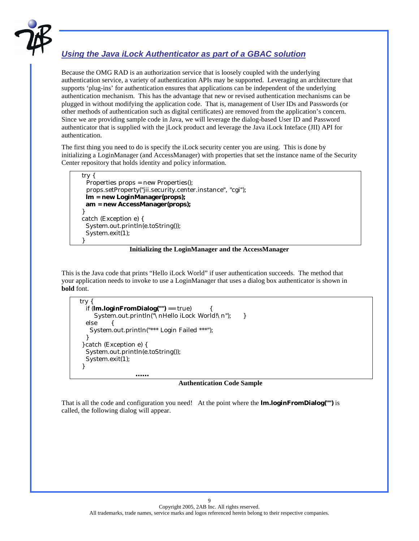

## *Using the Java iLock Authenticator as part of a GBAC solution*

Because the OMG RAD is an authorization service that is loosely coupled with the underlying authentication service, a variety of authentication APIs may be supported. Leveraging an architecture that supports 'plug-ins' for authentication ensures that applications can be independent of the underlying authentication mechanism. This has the advantage that new or revised authentication mechanisms can be plugged in without modifying the application code. That is, management of User IDs and Passwords (or other methods of authentication such as digital certificates) are removed from the application's concern. Since we are providing sample code in Java, we will leverage the dialog-based User ID and Password authenticator that is supplied with the jLock product and leverage the Java iLock Inteface (JII) API for authentication.

The first thing you need to do is specify the iLock security center you are using. This is done by initializing a LoginManager (and AccessManager) with properties that set the instance name of the Security Center repository that holds identity and policy information.

```
 try { 
     Properties props = new Properties(); 
     props.setProperty("jii.security.center.instance", "cgi"); 
    lm = new LoginManager(props); 
    am = new AccessManager(props); 
   } 
   catch (Exception e) { 
    System.out.println(e.toString()); 
    System.exit(1); 
 }
```
#### **Initializing the LoginManager and the AccessManager**

This is the Java code that prints "Hello iLock World" if user authentication succeeds. The method that your application needs to invoke to use a LoginManager that uses a dialog box authenticator is shown in **bold** font.

```
 try { 
    if (lm.loginFromDialog("") == true) { 
      System.out.println("\nHello iLock World!\n"); }
    else { 
      System.out.println("*** Login Failed ***"); 
    } 
   } catch (Exception e) { 
    System.out.println(e.toString()); 
    System.exit(1); 
   } 
 ……
```
#### **Authentication Code Sample**

That is all the code and configuration you need! At the point where the **lm.loginFromDialog("")** is called, the following dialog will appear.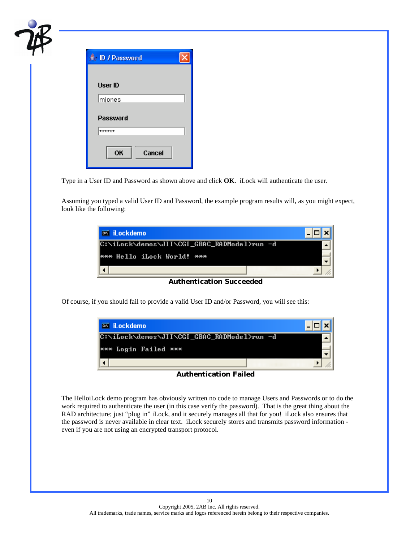| D/Password      |  |
|-----------------|--|
|                 |  |
| <b>User ID</b>  |  |
| mjones          |  |
| <b>Password</b> |  |
| ******          |  |
| OK<br>Cancel    |  |

Type in a User ID and Password as shown above and click **OK**. iLock will authenticate the user.

Assuming you typed a valid User ID and Password, the example program results will, as you might expect, look like the following:

| <b>EX iLockdemo</b>                         |  |
|---------------------------------------------|--|
| C:\iLock\demos\JII\CGI_GBAC_RADMode1>run -d |  |
| <b>*** Hello iLock World! ***</b>           |  |
|                                             |  |

**Authentication Succeeded** 

Of course, if you should fail to provide a valid User ID and/or Password, you will see this:



**Authentication Failed** 

The HelloiLock demo program has obviously written no code to manage Users and Passwords or to do the work required to authenticate the user (in this case verify the password). That is the great thing about the RAD architecture; just "plug in" iLock, and it securely manages all that for you! iLock also ensures that the password is never available in clear text. iLock securely stores and transmits password information even if you are not using an encrypted transport protocol.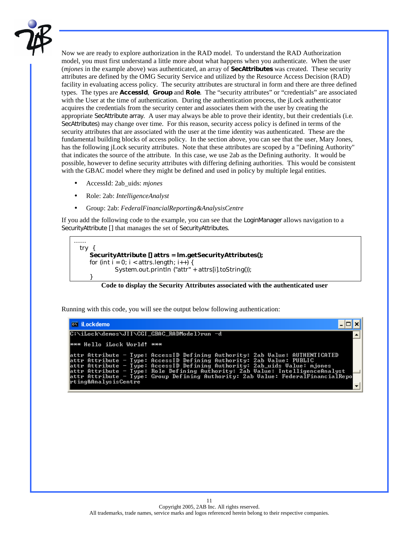

Now we are ready to explore authorization in the RAD model. To understand the RAD Authorization model, you must first understand a little more about what happens when you authenticate. When the user (*mjones* in the example above) was authenticated, an array of **SecAttributes** was created. These security attributes are defined by the OMG Security Service and utilized by the Resource Access Decision (RAD) facility in evaluating access policy. The security attributes are structural in form and there are three defined types. The types are **AccessId**, **Group** and **Role**. The "security attributes" or "credentials" are associated with the User at the time of authentication. During the authentication process, the jLock authenticator acquires the credentials from the security center and associates them with the user by creating the appropriate SecAttribute array. A user may always be able to prove their identity, but their credentials (i.e. SecAttributes) may change over time. For this reason, security access policy is defined in terms of the security attributes that are associated with the user at the time identity was authenticated. These are the fundamental building blocks of access policy. In the section above, you can see that the user, Mary Jones, has the following jLock security attributes. Note that these attributes are scoped by a "Defining Authority" that indicates the source of the attribute. In this case, we use 2ab as the Defining authority. It would be possible, however to define security attributes with differing defining authorities. This would be consistent with the GBAC model where they might be defined and used in policy by multiple legal entities.

- AccessId: 2ab\_uids: *mjones*
- Role: 2ab: *IntelligenceAnalyst*
- Group: 2ab: *FederalFinancialReporting&AnalysisCentre*

If you add the following code to the example, you can see that the LoginManager allows navigation to a SecurityAttribute [] that manages the set of SecurityAttributes.

```
…… 
  try { 
      SecurityAttribute [] attrs = lm.getSecurityAttributes(); 
     for (int i = 0; i < attrs.length; i++) {
               System.out.println ("attr" + attrs[i].toString()); 
 }
```
#### **Code to display the Security Attributes associated with the authenticated user**

Running with this code, you will see the output below following authentication:

```
EX iLockdemo
                                                                                                                                                                                 - 0
 ::\iLock\demos\JII\CGI_GBAC_RADMode1>run -d
 *** Hello iLock World! ***
                                                   AccessID Defining Authority: 2ab Value: AUTHENTICATED<br>AccessID Defining Authority: 2ab Value: PUBLIC<br>AccessID Defining Authority: 2ab Ualue: PUBLIC<br>Role Defining Authority: 2ab Value: IntelligenceAnalyst<br>Role Defining Auth
attr Attribute –<br>attr Attribute –<br>attr Attribute –<br>attr Attribute –<br>attr Attribute –
                                      Type:<br>Type:<br>Type:<br>Type:<br>Type:
                                                    Group Defining Authority: 2ab Ualue: FederalFinancialRepo
 ting&AnalysisCentre<sup>:</sup>
```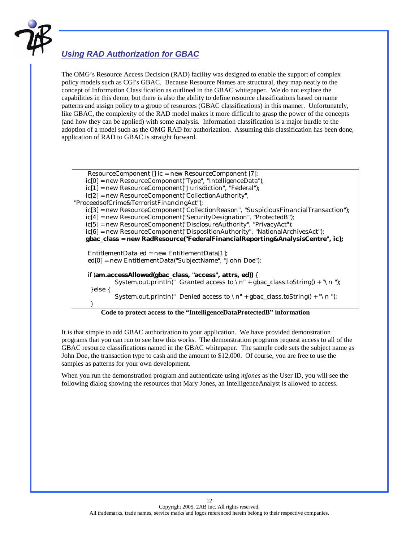

### *Using RAD Authorization for GBAC*

The OMG's Resource Access Decision (RAD) facility was designed to enable the support of complex policy models such as CGI's GBAC. Because Resource Names are structural, they map neatly to the concept of Information Classification as outlined in the GBAC whitepaper. We do not explore the capabilities in this demo, but there is also the ability to define resource classifications based on name patterns and assign policy to a group of resources (GBAC classifications) in this manner. Unfortunately, like GBAC, the complexity of the RAD model makes it more difficult to grasp the power of the concepts (and how they can be applied) with some analysis. Information classification is a major hurdle to the adoption of a model such as the OMG RAD for authorization. Assuming this classification has been done, application of RAD to GBAC is straight forward.

| ResourceComponent [] ic = new ResourceComponent [7];                                 |
|--------------------------------------------------------------------------------------|
| $ic[0]$ = new ResourceComponent("Type", "IntelligenceData");                         |
| $ic[1]$ = new ResourceComponent("Jurisdiction", "Federal");                          |
| $ic[2]$ = new ResourceComponent("CollectionAuthority",                               |
| "ProceedsofCrime&TerroristFinancingAct");                                            |
| ic[3] = new ResourceComponent("CollectionReason", "SuspiciousFinancialTransaction"); |
| ic[4] = new ResourceComponent("SecurityDesignation", "ProtectedB");                  |
| $ic[5]$ = new ResourceComponent("DisclosureAuthority", "PrivacyAct");                |
| $ic[6]$ = new ResourceComponent("DispositionAuthority", "NationalArchivesAct");      |
| gbac_class = new RadResource("FederalFinancialReporting&AnalysisCentre", ic);        |
|                                                                                      |
| EntitlementData ed = new EntitlementData[1];                                         |
| ed[0] = new EntitlementData("SubjectName", "John Doe");                              |
|                                                                                      |
| if $(am.accessAllowed(gbac_class, "access", attrs, ed))$ {                           |
| System.out.println(" Granted access to $\pi$ " + gbac_class.toString() + "\n");      |
| $\}$ else $\{$                                                                       |
| System.out.println(" Denied access to $\ln$ " + gbac_class.toString() + "\n ");      |
|                                                                                      |

#### **Code to protect access to the "IntelligenceDataProtectedB" information**

It is that simple to add GBAC authorization to your application. We have provided demonstration programs that you can run to see how this works. The demonstration programs request access to all of the GBAC resource classifications named in the GBAC whitepaper. The sample code sets the subject name as John Doe, the transaction type to cash and the amount to \$12,000. Of course, you are free to use the samples as patterns for your own development.

When you run the demonstration program and authenticate using *mjones* as the User ID, you will see the following dialog showing the resources that Mary Jones, an IntelligenceAnalyst is allowed to access.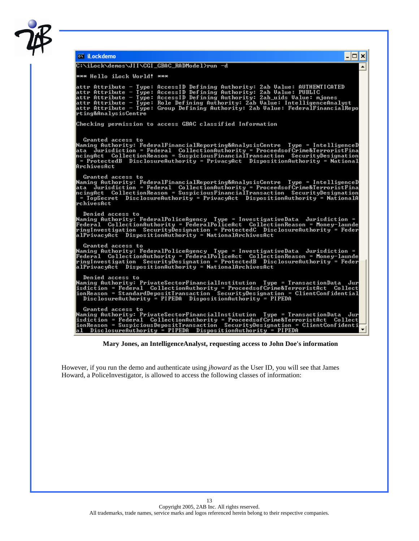

| <b>EX iLockdemo</b><br>- 0 ×                                                                                                                                                                                                                                                                                                                                                                                                      |
|-----------------------------------------------------------------------------------------------------------------------------------------------------------------------------------------------------------------------------------------------------------------------------------------------------------------------------------------------------------------------------------------------------------------------------------|
| C:\iLock\demos\JII\CGI_GBAC_RADMode1>run -d                                                                                                                                                                                                                                                                                                                                                                                       |
| <b>*** Hello iLock World!</b> ***                                                                                                                                                                                                                                                                                                                                                                                                 |
| attr Attribute - Type: AccessID Defining Authority: 2ab Value: AUTHENTICATED<br>attr Attribute - Type: AccessID Defining Authority: 2ab Ualue: PUBLIC<br>attr Attribute - Type: AccessID Defining Authority: 2ab_uids Value: mjones<br>attr Attribute - Type: Role Defining Authority: 2ab Value: IntelligenceAnalyst<br>attr Attribute - Type: Group Defining Authority: 2ab Value: FederalFinancialRepo<br>rting&AnalysisCentre |
| Checking permission to access GBAC classified Information                                                                                                                                                                                                                                                                                                                                                                         |
| Granted access to<br>Naming Authority: FederalFinancialReporting&AnalysisCentre Type = IntelligenceD<br>ata  Jurisdiction = Federal  CollectionAuthority = ProceedsofCrime&TerroristFina<br>hcingAct CollectionReason = SuspiciousFinancialTransaction SecurityDesignation<br>= ProtectedB DisclosureAuthority = PrivacyAct DispositionAuthority = National<br>ArchivesAct                                                        |
| Granted access to<br>Naming Authority: FederalFinancialReporting&AnalysisCentre - Type = IntelligenceD<br>ata  Jurisdiction = Federal  CollectionAuthority = ProceedsofCrime&TerroristFina<br>ncingAct CollectionReason = SuspiciousFinancialTransaction SecurityDesignation<br>= TopSecret DisclosureAuthority = PrivacyAct DispositionAuthority = NationalA<br>lrchivesAct                                                      |
| Denied access to<br>Naming Authority: FederalPoliceAgency  Type = InvestigativeData  Jurisdiction =<br>Federal CollectionAuthority = FederalPoliceAct CollectionReason = Money-launde<br>ringInvestigation SecurityDesignation = ProtectedC DisclosureAuthority = Feder<br>alPrivacyAct DispositionAuthority = NationalArchivesAct                                                                                                |
| Granted access to<br>Naming Authority: FederalPoliceAgency Type = InvestigativeData Jurisdiction =<br>Federal CollectionAuthority = FederalPoliceAct CollectionReason = Money-launde<br>ringInvestigation SecurityDesignation = ProtectedB DisclosureAuthority = Feder_<br>alPrivacyAct DispositionAuthority = NationalArchivesAct                                                                                                |
| Denied access to<br>Naming Authority: PrivateSectorFinancialInstitution   Type = TransactionData  Jur<br>isdiction = Federal CollectionAuthority = ProceedsofCrime&TerroristAct Collect<br>ionReason = StandardDepositTransaction SecurityDesignation = ClientConfidential<br>DisclosureAuthority = PIPEDA DispositionAuthority = PIPEDA                                                                                          |
| Granted access to<br>Naming Authority: PrivateSectorFinancialInstitution   Type  =  TransactionData   Jur<br>isdiction = Federal CollectionAuthority = ProceedsofCrime&TerroristAct Collect<br>ionReason = SuspiciousDepositTransaction SecurityDesignation = ClientConfidenti<br>al DisclosureAuthority = PIPEDA DispositionAuthority = PIPEDA                                                                                   |

 **Mary Jones, an IntelligenceAnalyst, requesting access to John Doe's information** 

However, if you run the demo and authenticate using *jhoward* as the User ID, you will see that James Howard, a PoliceInvestigator, is allowed to access the following classes of information: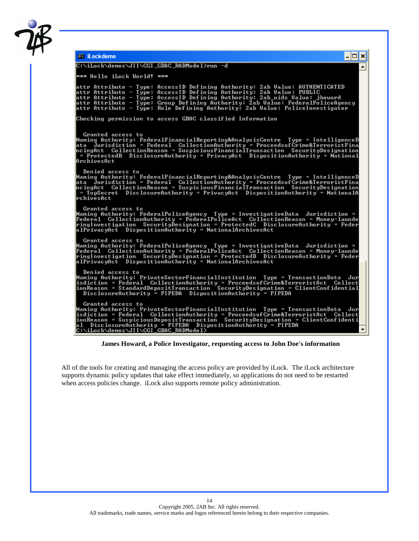

| <sup>ex</sup> iLockdemo                                                                                                                                                                                                                                                                                                                                                                                  | - 10 |
|----------------------------------------------------------------------------------------------------------------------------------------------------------------------------------------------------------------------------------------------------------------------------------------------------------------------------------------------------------------------------------------------------------|------|
| C:\iLock\demos\JII\CGI_GBAC_RADMode1>run -d                                                                                                                                                                                                                                                                                                                                                              |      |
| *** Hello iLock World! ***                                                                                                                                                                                                                                                                                                                                                                               |      |
| attr Attribute - Type: AccessID Defining Authority: 2ab Value: AUTHENTICATED<br>attr Attribute - Type: AccessID Defining Authority: 2ab Value: PUBLIC<br>attr Attribute - Type: AccessID Defining Authority: 2ab_uids Value: jhoward<br>attr Attribute - Type: Group Defining Authority: 2ab Value: FederalPoliceAgency<br>attr Attribute - Type: Role Defining Authority: 2ab Value: PoliceInvestigator |      |
| Checking permission to access GBAC classified Information                                                                                                                                                                                                                                                                                                                                                |      |
| Granted access to<br>Naming Authority: FederalFinancialReporting&AnalysisCentre Type = IntelligenceD<br>ata Jurisdiction = Federal CollectionAuthority = ProceedsofCrime&TerroristFina<br>ncingAct CollectionReason = SuspiciousFinancialTransaction SecurityDesignation<br>= ProtectedB DisclosureAuthority = PrivacyAct DispositionAuthority = National<br>ArchivesAct                                 |      |
| Denied access to<br>Naming Authority: FederalFinancialReporting&AnalysisCentre Type = IntelligenceD<br>ata Jurisdiction = Federal CollectionAuthority = ProceedsofĆrime&TerroristFina<br>ncingAct CollectionReason = SuspiciousFinancialTransaction SecurityDesignation<br>= TopSecret DisclosureAuthority = PrivacyAct DispositionAuthority = NationalA<br>rchivesAct                                   |      |
| Granted access to<br>Naming Authority: FederalPoliceAgency Type = InvestigativeData Jurisdiction =<br>Federal CollectionAuthority = FederalPoliceAct CollectionReason = Money-launde<br>ringInvestigation SecurityDesignation = ProtectedC DisclosureAuthority = Feder                                                                                                                                   |      |
| Granted access to<br>Maming Authority: FederalPoliceAgency _ Type = InvestigativeData =Jurisdiction =<br>Federal CollectionAuthority = FederalPoliceAct CollectionReason = Money-launde<br>ringInvestigation SecurityDesignation = ProtectedB DisclosureAuthority = Feder<br>alPrivacyAct DispositionAuthority = NationalArchivesAct                                                                     |      |
| Denied access to<br>Naming Authority: PrivateSectorFinancialInstitution Type = TransactionData Jur<br>isdiction = Federal CollectionAuthority = ProceedsofCrime&TerroristAct Collect<br>ionReason = StandardDepositTransaction <sup>-</sup> SecurityDesignation = ClientConfidential<br>DisclosureAuthority = PIPEDA DispositionAuthority = PIPEDA                                                       |      |
| Granted access to<br>Naming Authority: PrivateSectorFinancialInstitution   Type = TransactionData  Jur<br>al DisclosureAuthority = PIPEDA DispositionAuthority = PIPEDA<br> C:\iLock\demos\JII\CGIÉGBAC_RADMode1>`                                                                                                                                                                                       |      |

 **James Howard, a Police Investigator, requesting access to John Doe's information** 

All of the tools for creating and managing the access policy are provided by iLock. The iLock architecture supports dynamic policy updates that take effect immediately, so applications do not need to be restarted when access policies change. iLock also supports remote policy administration.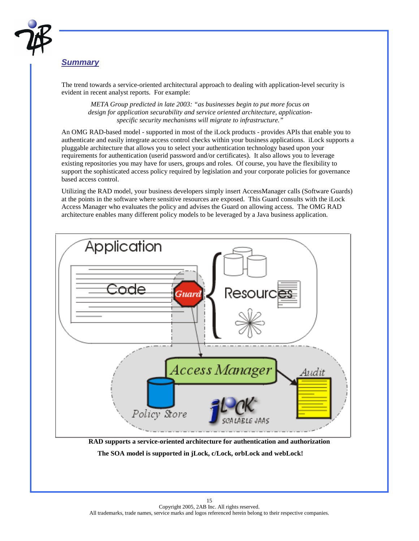

#### *Summary*

l.

The trend towards a service-oriented architectural approach to dealing with application-level security is evident in recent analyst reports. For example:

*META Group predicted in late 2003: "as businesses begin to put more focus on design for application securability and service oriented architecture, applicationspecific security mechanisms will migrate to infrastructure."* 

An OMG RAD-based model - supported in most of the iLock products - provides APIs that enable you to authenticate and easily integrate access control checks within your business applications. iLock supports a pluggable architecture that allows you to select your authentication technology based upon your requirements for authentication (userid password and/or certificates). It also allows you to leverage existing repositories you may have for users, groups and roles. Of course, you have the flexibility to support the sophisticated access policy required by legislation and your corporate policies for governance based access control.

Utilizing the RAD model, your business developers simply insert AccessManager calls (Software Guards) at the points in the software where sensitive resources are exposed. This Guard consults with the iLock Access Manager who evaluates the policy and advises the Guard on allowing access. The OMG RAD architecture enables many different policy models to be leveraged by a Java business application.



**RAD supports a service-oriented architecture for authentication and authorization** 

 **The SOA model is supported in jLock, c/Lock, orbLock and webLock!**